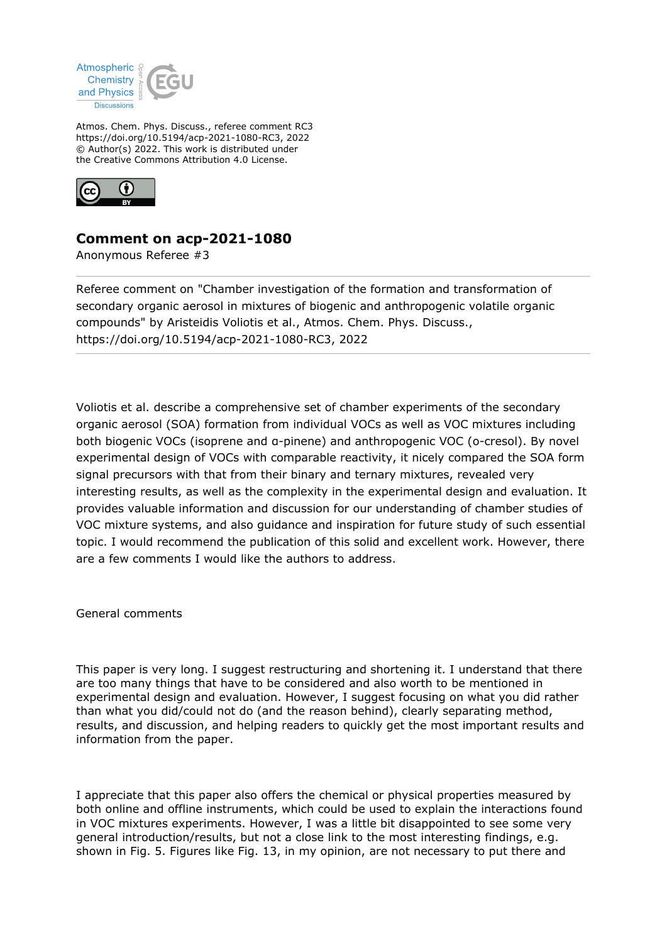

Atmos. Chem. Phys. Discuss., referee comment RC3 https://doi.org/10.5194/acp-2021-1080-RC3, 2022 © Author(s) 2022. This work is distributed under the Creative Commons Attribution 4.0 License.



## **Comment on acp-2021-1080**

Anonymous Referee #3

Referee comment on "Chamber investigation of the formation and transformation of secondary organic aerosol in mixtures of biogenic and anthropogenic volatile organic compounds" by Aristeidis Voliotis et al., Atmos. Chem. Phys. Discuss., https://doi.org/10.5194/acp-2021-1080-RC3, 2022

Voliotis et al. describe a comprehensive set of chamber experiments of the secondary organic aerosol (SOA) formation from individual VOCs as well as VOC mixtures including both biogenic VOCs (isoprene and α-pinene) and anthropogenic VOC (o-cresol). By novel experimental design of VOCs with comparable reactivity, it nicely compared the SOA form signal precursors with that from their binary and ternary mixtures, revealed very interesting results, as well as the complexity in the experimental design and evaluation. It provides valuable information and discussion for our understanding of chamber studies of VOC mixture systems, and also guidance and inspiration for future study of such essential topic. I would recommend the publication of this solid and excellent work. However, there are a few comments I would like the authors to address.

General comments

This paper is very long. I suggest restructuring and shortening it. I understand that there are too many things that have to be considered and also worth to be mentioned in experimental design and evaluation. However, I suggest focusing on what you did rather than what you did/could not do (and the reason behind), clearly separating method, results, and discussion, and helping readers to quickly get the most important results and information from the paper.

I appreciate that this paper also offers the chemical or physical properties measured by both online and offline instruments, which could be used to explain the interactions found in VOC mixtures experiments. However, I was a little bit disappointed to see some very general introduction/results, but not a close link to the most interesting findings, e.g. shown in Fig. 5. Figures like Fig. 13, in my opinion, are not necessary to put there and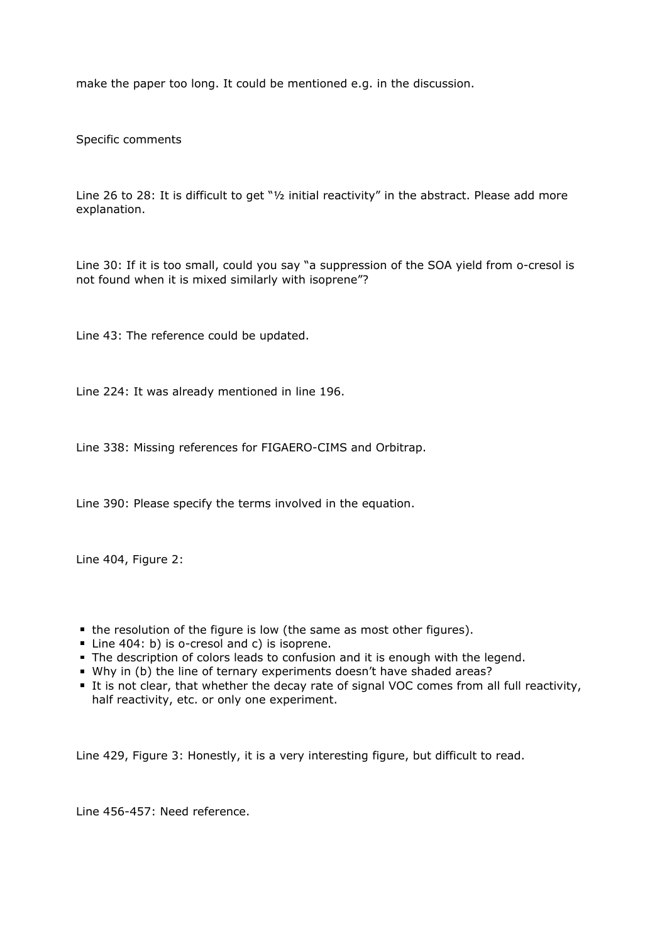make the paper too long. It could be mentioned e.g. in the discussion.

Specific comments

Line 26 to 28: It is difficult to get "½ initial reactivity" in the abstract. Please add more explanation.

Line 30: If it is too small, could you say "a suppression of the SOA yield from o-cresol is not found when it is mixed similarly with isoprene"?

Line 43: The reference could be updated.

Line 224: It was already mentioned in line 196.

Line 338: Missing references for FIGAERO-CIMS and Orbitrap.

Line 390: Please specify the terms involved in the equation.

Line 404, Figure 2:

- the resolution of the figure is low (the same as most other figures).
- Line 404: b) is o-cresol and c) is isoprene.
- The description of colors leads to confusion and it is enough with the legend.
- Why in (b) the line of ternary experiments doesn't have shaded areas?
- It is not clear, that whether the decay rate of signal VOC comes from all full reactivity, half reactivity, etc. or only one experiment.

Line 429, Figure 3: Honestly, it is a very interesting figure, but difficult to read.

Line 456-457: Need reference.